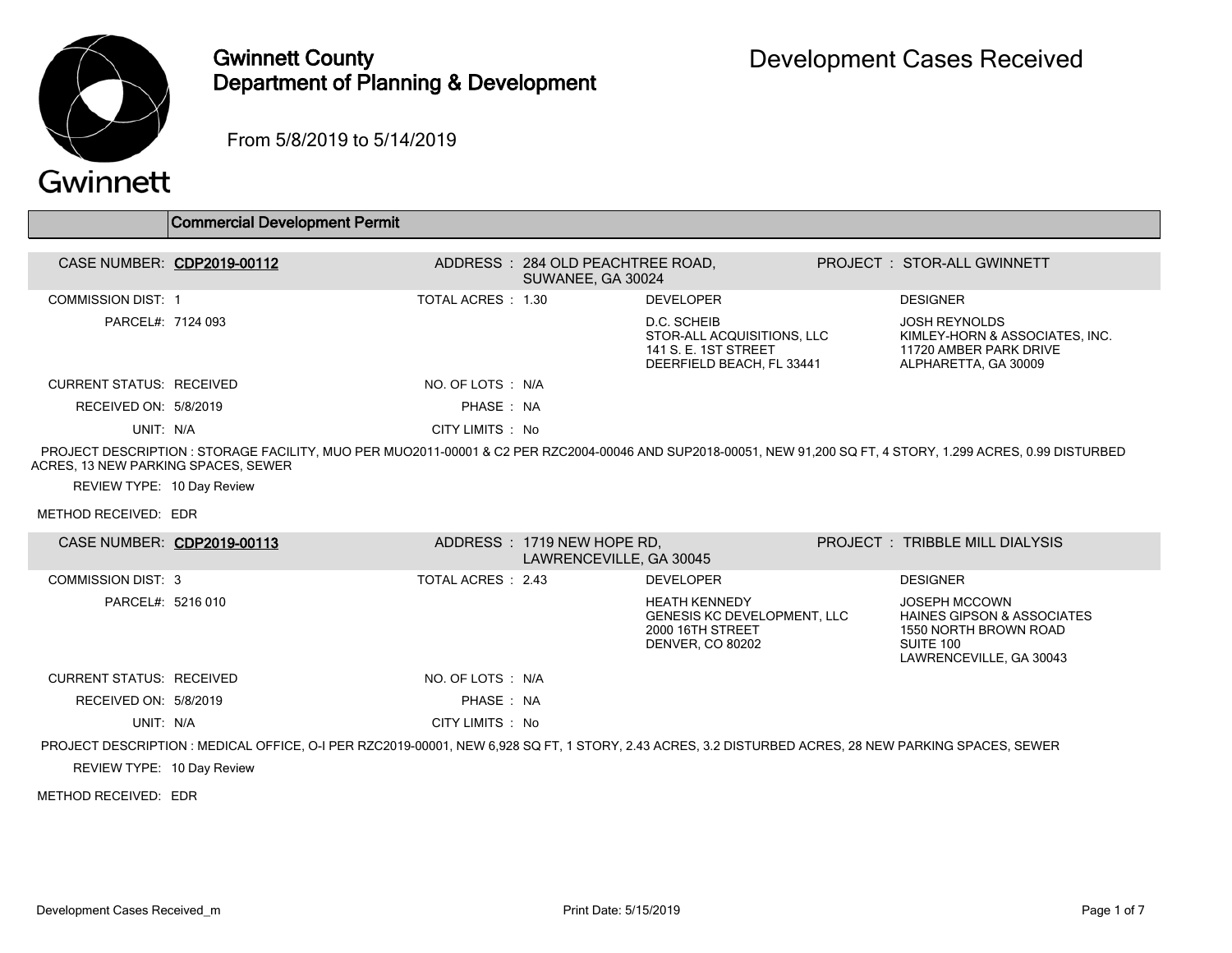

# Gwinnett County Department of Planning & Development

From 5/8/2019 to 5/14/2019

# Gwinnett

|                                     | Commercial Development Permit                                                                                                                                  |                   |                                                        |                                                                                               |                                                                                                          |
|-------------------------------------|----------------------------------------------------------------------------------------------------------------------------------------------------------------|-------------------|--------------------------------------------------------|-----------------------------------------------------------------------------------------------|----------------------------------------------------------------------------------------------------------|
| CASE NUMBER: CDP2019-00112          |                                                                                                                                                                |                   | ADDRESS : 284 OLD PEACHTREE ROAD,<br>SUWANEE, GA 30024 |                                                                                               | PROJECT: STOR-ALL GWINNETT                                                                               |
| <b>COMMISSION DIST: 1</b>           |                                                                                                                                                                | TOTAL ACRES 1.30  |                                                        | <b>DEVELOPER</b>                                                                              | <b>DESIGNER</b>                                                                                          |
| PARCEL#: 7124 093                   |                                                                                                                                                                |                   |                                                        | D.C. SCHEIB<br>STOR-ALL ACQUISITIONS, LLC<br>141 S.E. 1ST STREET<br>DEERFIELD BEACH. FL 33441 | <b>JOSH REYNOLDS</b><br>KIMLEY-HORN & ASSOCIATES. INC.<br>11720 AMBER PARK DRIVE<br>ALPHARETTA, GA 30009 |
| <b>CURRENT STATUS. RECEIVED</b>     |                                                                                                                                                                | NO. OF LOTS : N/A |                                                        |                                                                                               |                                                                                                          |
| RECEIVED ON: 5/8/2019               |                                                                                                                                                                | PHASE: NA         |                                                        |                                                                                               |                                                                                                          |
| UNIT: N/A                           |                                                                                                                                                                | CITY LIMITS : No  |                                                        |                                                                                               |                                                                                                          |
| ACRES, 13 NEW PARKING SPACES, SEWER | PROJECT DESCRIPTION : STORAGE FACILITY, MUO PER MUO2011-00001 & C2 PER RZC2004-00046 AND SUP2018-00051, NEW 91,200 SQ FT, 4 STORY, 1.299 ACRES, 0.99 DISTURBED |                   |                                                        |                                                                                               |                                                                                                          |

REVIEW TYPE: 10 Day Review

METHOD RECEIVED: EDR

| CASE NUMBER: CDP2019-00113 |                                                                                                                                                      |                    | ADDRESS: 1719 NEW HOPE RD.<br>LAWRENCEVILLE, GA 30045 |                                                                                                           | <b>PROJECT: TRIBBLE MILL DIALYSIS</b>                                                                                          |
|----------------------------|------------------------------------------------------------------------------------------------------------------------------------------------------|--------------------|-------------------------------------------------------|-----------------------------------------------------------------------------------------------------------|--------------------------------------------------------------------------------------------------------------------------------|
| COMMISSION DIST: 3         |                                                                                                                                                      | TOTAL ACRES : 2.43 |                                                       | <b>DEVELOPER</b>                                                                                          | <b>DESIGNER</b>                                                                                                                |
| PARCEL#: 5216 010          |                                                                                                                                                      |                    |                                                       | <b>HEATH KENNEDY</b><br><b>GENESIS KC DEVELOPMENT. LLC</b><br>2000 16TH STREET<br><b>DENVER, CO 80202</b> | <b>JOSEPH MCCOWN</b><br><b>HAINES GIPSON &amp; ASSOCIATES</b><br>1550 NORTH BROWN ROAD<br>SUITE 100<br>LAWRENCEVILLE, GA 30043 |
| CURRENT STATUS. RECEIVED   |                                                                                                                                                      | NO. OF LOTS : N/A  |                                                       |                                                                                                           |                                                                                                                                |
| RECEIVED ON: 5/8/2019      |                                                                                                                                                      | PHASE: NA          |                                                       |                                                                                                           |                                                                                                                                |
| UNIT: N/A                  |                                                                                                                                                      | CITY LIMITS : No   |                                                       |                                                                                                           |                                                                                                                                |
|                            | PROJECT DESCRIPTION : MEDICAL OFFICE, O-I PER RZC2019-00001, NEW 6,928 SQ FT, 1 STORY, 2.43 ACRES, 3.2 DISTURBED ACRES, 28 NEW PARKING SPACES, SEWER |                    |                                                       |                                                                                                           |                                                                                                                                |
| REVIEW TYPE: 10 Day Review |                                                                                                                                                      |                    |                                                       |                                                                                                           |                                                                                                                                |

METHOD RECEIVED: EDR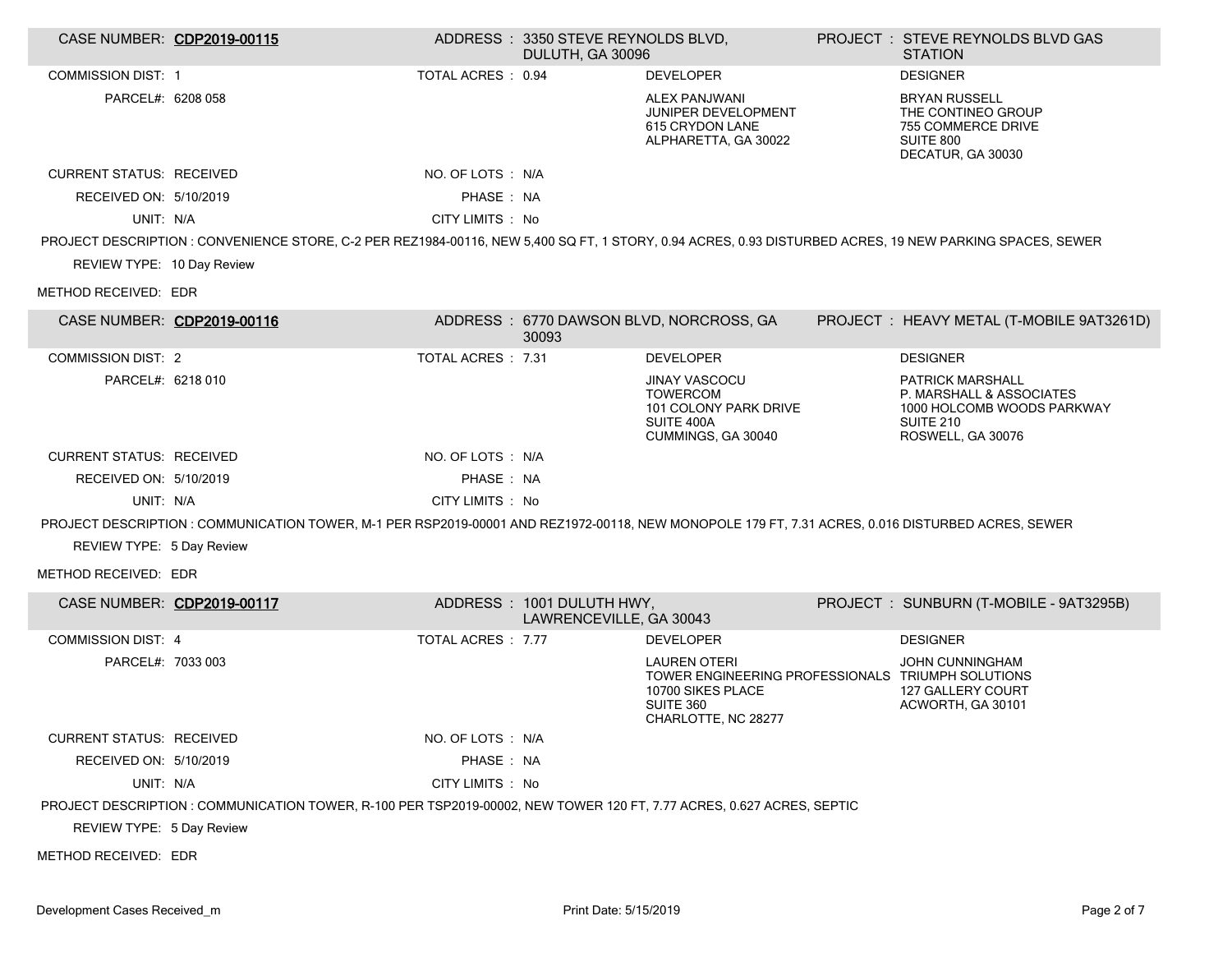| CASE NUMBER: CDP2019-00115      |                                                                                                                                                         |                    | ADDRESS: 3350 STEVE REYNOLDS BLVD,<br>DULUTH, GA 30096 |                                                                                                                                   | <b>PROJECT : STEVE REYNOLDS BLVD GAS</b><br><b>STATION</b>                                                          |
|---------------------------------|---------------------------------------------------------------------------------------------------------------------------------------------------------|--------------------|--------------------------------------------------------|-----------------------------------------------------------------------------------------------------------------------------------|---------------------------------------------------------------------------------------------------------------------|
| <b>COMMISSION DIST: 1</b>       |                                                                                                                                                         | TOTAL ACRES : 0.94 |                                                        | <b>DEVELOPER</b>                                                                                                                  | <b>DESIGNER</b>                                                                                                     |
| PARCEL#: 6208 058               |                                                                                                                                                         |                    |                                                        | ALEX PANJWANI<br>JUNIPER DEVELOPMENT<br>615 CRYDON LANE<br>ALPHARETTA, GA 30022                                                   | <b>BRYAN RUSSELL</b><br>THE CONTINEO GROUP<br>755 COMMERCE DRIVE<br>SUITE 800<br>DECATUR, GA 30030                  |
| <b>CURRENT STATUS: RECEIVED</b> |                                                                                                                                                         | NO. OF LOTS : N/A  |                                                        |                                                                                                                                   |                                                                                                                     |
| RECEIVED ON: 5/10/2019          |                                                                                                                                                         | PHASE: NA          |                                                        |                                                                                                                                   |                                                                                                                     |
| UNIT: N/A                       |                                                                                                                                                         | CITY LIMITS : No   |                                                        |                                                                                                                                   |                                                                                                                     |
|                                 | PROJECT DESCRIPTION: CONVENIENCE STORE, C-2 PER REZ1984-00116, NEW 5,400 SQ FT, 1 STORY, 0.94 ACRES, 0.93 DISTURBED ACRES, 19 NEW PARKING SPACES, SEWER |                    |                                                        |                                                                                                                                   |                                                                                                                     |
| REVIEW TYPE: 10 Day Review      |                                                                                                                                                         |                    |                                                        |                                                                                                                                   |                                                                                                                     |
| METHOD RECEIVED: EDR            |                                                                                                                                                         |                    |                                                        |                                                                                                                                   |                                                                                                                     |
| CASE NUMBER: CDP2019-00116      |                                                                                                                                                         |                    | 30093                                                  | ADDRESS: 6770 DAWSON BLVD, NORCROSS, GA                                                                                           | PROJECT : HEAVY METAL (T-MOBILE 9AT3261D)                                                                           |
| <b>COMMISSION DIST: 2</b>       |                                                                                                                                                         | TOTAL ACRES : 7.31 |                                                        | <b>DEVELOPER</b>                                                                                                                  | <b>DESIGNER</b>                                                                                                     |
| PARCEL#: 6218 010               |                                                                                                                                                         |                    |                                                        | <b>JINAY VASCOCU</b><br><b>TOWERCOM</b><br>101 COLONY PARK DRIVE<br>SUITE 400A<br>CUMMINGS, GA 30040                              | <b>PATRICK MARSHALL</b><br>P. MARSHALL & ASSOCIATES<br>1000 HOLCOMB WOODS PARKWAY<br>SUITE 210<br>ROSWELL, GA 30076 |
| <b>CURRENT STATUS: RECEIVED</b> |                                                                                                                                                         | NO. OF LOTS : N/A  |                                                        |                                                                                                                                   |                                                                                                                     |
| RECEIVED ON: 5/10/2019          |                                                                                                                                                         | PHASE: NA          |                                                        |                                                                                                                                   |                                                                                                                     |
| UNIT: N/A                       |                                                                                                                                                         | CITY LIMITS : No   |                                                        |                                                                                                                                   |                                                                                                                     |
|                                 | PROJECT DESCRIPTION : COMMUNICATION TOWER, M-1 PER RSP2019-00001 AND REZ1972-00118, NEW MONOPOLE 179 FT, 7.31 ACRES, 0.016 DISTURBED ACRES, SEWER       |                    |                                                        |                                                                                                                                   |                                                                                                                     |
| REVIEW TYPE: 5 Day Review       |                                                                                                                                                         |                    |                                                        |                                                                                                                                   |                                                                                                                     |
| METHOD RECEIVED: EDR            |                                                                                                                                                         |                    |                                                        |                                                                                                                                   |                                                                                                                     |
| CASE NUMBER: CDP2019-00117      |                                                                                                                                                         |                    | ADDRESS: 1001 DULUTH HWY,<br>LAWRENCEVILLE, GA 30043   |                                                                                                                                   | PROJECT: SUNBURN (T-MOBILE - 9AT3295B)                                                                              |
| <b>COMMISSION DIST: 4</b>       |                                                                                                                                                         | TOTAL ACRES : 7.77 |                                                        | <b>DEVELOPER</b>                                                                                                                  | <b>DESIGNER</b>                                                                                                     |
| PARCEL#: 7033 003               |                                                                                                                                                         |                    |                                                        | <b>LAUREN OTERI</b><br>TOWER ENGINEERING PROFESSIONALS TRIUMPH SOLUTIONS<br>10700 SIKES PLACE<br>SUITE 360<br>CHARLOTTE, NC 28277 | <b>JOHN CUNNINGHAM</b><br>127 GALLERY COURT<br>ACWORTH, GA 30101                                                    |
| <b>CURRENT STATUS: RECEIVED</b> |                                                                                                                                                         | NO. OF LOTS : N/A  |                                                        |                                                                                                                                   |                                                                                                                     |
| RECEIVED ON: 5/10/2019          |                                                                                                                                                         | PHASE : NA         |                                                        |                                                                                                                                   |                                                                                                                     |
| UNIT: N/A                       |                                                                                                                                                         | CITY LIMITS : No   |                                                        |                                                                                                                                   |                                                                                                                     |
|                                 | PROJECT DESCRIPTION : COMMUNICATION TOWER, R-100 PER TSP2019-00002, NEW TOWER 120 FT, 7.77 ACRES, 0.627 ACRES, SEPTIC                                   |                    |                                                        |                                                                                                                                   |                                                                                                                     |
| REVIEW TYPE: 5 Day Review       |                                                                                                                                                         |                    |                                                        |                                                                                                                                   |                                                                                                                     |
| METHOD RECEIVED: EDR            |                                                                                                                                                         |                    |                                                        |                                                                                                                                   |                                                                                                                     |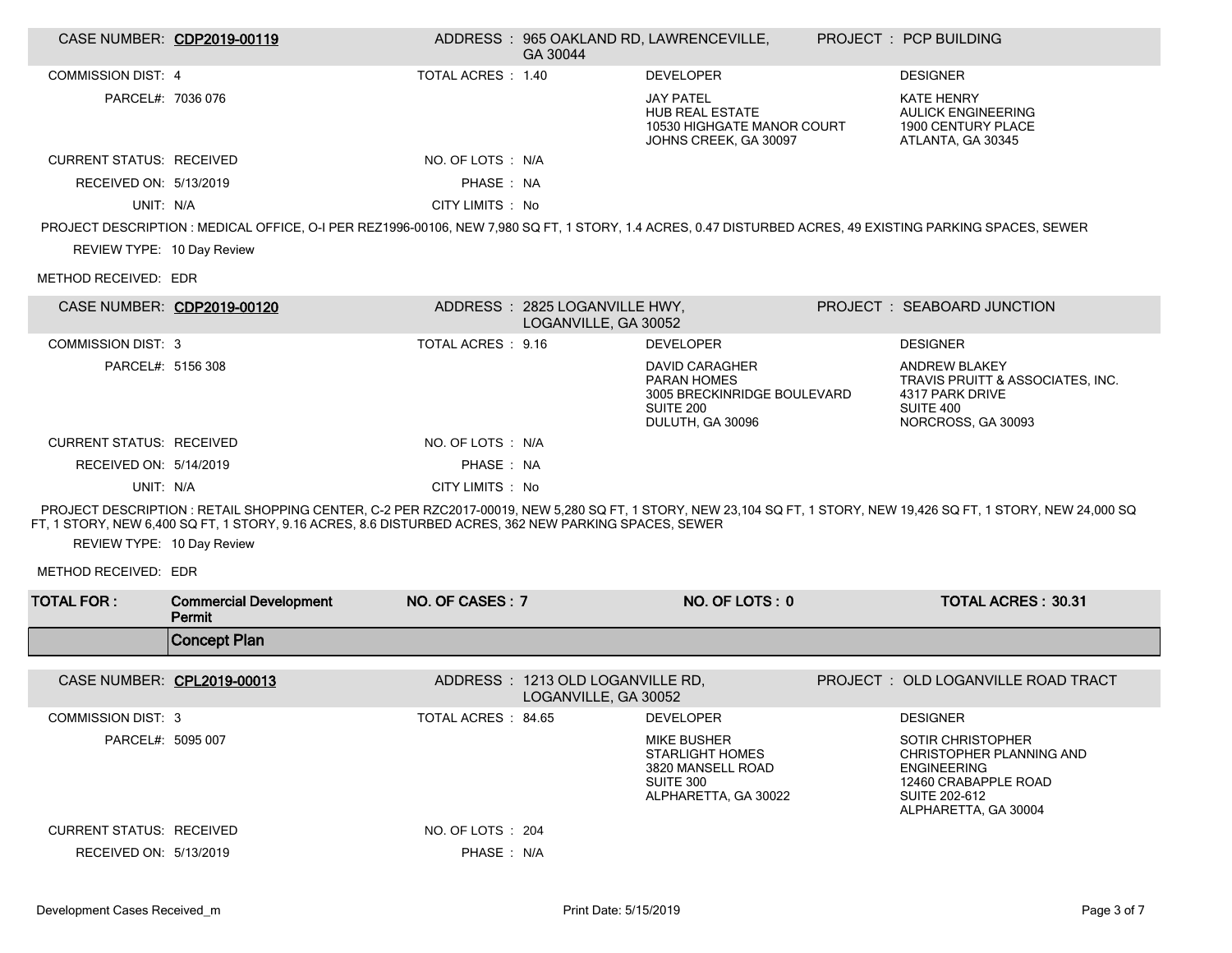| CASE NUMBER: CDP2019-00119      |                                                                                                                                                           |                    | GA 30044                                                 | ADDRESS: 965 OAKLAND RD, LAWRENCEVILLE,                                                                     | PROJECT : PCP BUILDING                                                                                                                                             |
|---------------------------------|-----------------------------------------------------------------------------------------------------------------------------------------------------------|--------------------|----------------------------------------------------------|-------------------------------------------------------------------------------------------------------------|--------------------------------------------------------------------------------------------------------------------------------------------------------------------|
| <b>COMMISSION DIST: 4</b>       |                                                                                                                                                           | TOTAL ACRES : 1.40 |                                                          | <b>DEVELOPER</b>                                                                                            | <b>DESIGNER</b>                                                                                                                                                    |
| PARCEL#: 7036 076               |                                                                                                                                                           |                    |                                                          | <b>JAY PATEL</b><br><b>HUB REAL ESTATE</b><br>10530 HIGHGATE MANOR COURT<br>JOHNS CREEK, GA 30097           | <b>KATE HENRY</b><br><b>AULICK ENGINEERING</b><br>1900 CENTURY PLACE<br>ATLANTA, GA 30345                                                                          |
| <b>CURRENT STATUS: RECEIVED</b> |                                                                                                                                                           | NO. OF LOTS : N/A  |                                                          |                                                                                                             |                                                                                                                                                                    |
| RECEIVED ON: 5/13/2019          |                                                                                                                                                           | PHASE: NA          |                                                          |                                                                                                             |                                                                                                                                                                    |
| UNIT: N/A                       |                                                                                                                                                           | CITY LIMITS : No   |                                                          |                                                                                                             |                                                                                                                                                                    |
|                                 | PROJECT DESCRIPTION : MEDICAL OFFICE, O-I PER REZ1996-00106, NEW 7,980 SQ FT, 1 STORY, 1.4 ACRES, 0.47 DISTURBED ACRES, 49 EXISTING PARKING SPACES, SEWER |                    |                                                          |                                                                                                             |                                                                                                                                                                    |
| REVIEW TYPE: 10 Day Review      |                                                                                                                                                           |                    |                                                          |                                                                                                             |                                                                                                                                                                    |
| METHOD RECEIVED: EDR            |                                                                                                                                                           |                    |                                                          |                                                                                                             |                                                                                                                                                                    |
| CASE NUMBER: CDP2019-00120      |                                                                                                                                                           |                    | ADDRESS: 2825 LOGANVILLE HWY,<br>LOGANVILLE, GA 30052    |                                                                                                             | PROJECT: SEABOARD JUNCTION                                                                                                                                         |
| <b>COMMISSION DIST: 3</b>       |                                                                                                                                                           | TOTAL ACRES: 9.16  |                                                          | <b>DEVELOPER</b>                                                                                            | <b>DESIGNER</b>                                                                                                                                                    |
| PARCEL#: 5156 308               |                                                                                                                                                           |                    |                                                          | <b>DAVID CARAGHER</b><br><b>PARAN HOMES</b><br>3005 BRECKINRIDGE BOULEVARD<br>SUITE 200<br>DULUTH, GA 30096 | <b>ANDREW BLAKEY</b><br>TRAVIS PRUITT & ASSOCIATES, INC.<br>4317 PARK DRIVE<br>SUITE 400<br>NORCROSS, GA 30093                                                     |
| <b>CURRENT STATUS: RECEIVED</b> |                                                                                                                                                           | NO. OF LOTS : N/A  |                                                          |                                                                                                             |                                                                                                                                                                    |
| RECEIVED ON: 5/14/2019          |                                                                                                                                                           | PHASE: NA          |                                                          |                                                                                                             |                                                                                                                                                                    |
| UNIT: N/A                       |                                                                                                                                                           | CITY LIMITS : No   |                                                          |                                                                                                             |                                                                                                                                                                    |
|                                 |                                                                                                                                                           |                    |                                                          |                                                                                                             | PROJECT DESCRIPTION : RETAIL SHOPPING CENTER, C-2 PER RZC2017-00019, NEW 5,280 SQ FT, 1 STORY, NEW 23,104 SQ FT, 1 STORY, NEW 19,426 SQ FT, 1 STORY, NEW 24,000 SQ |
|                                 |                                                                                                                                                           |                    |                                                          |                                                                                                             |                                                                                                                                                                    |
| REVIEW TYPE: 10 Day Review      | FT, 1 STORY, NEW 6,400 SQ FT, 1 STORY, 9.16 ACRES, 8.6 DISTURBED ACRES, 362 NEW PARKING SPACES, SEWER                                                     |                    |                                                          |                                                                                                             |                                                                                                                                                                    |
| METHOD RECEIVED: EDR            |                                                                                                                                                           |                    |                                                          |                                                                                                             |                                                                                                                                                                    |
| <b>TOTAL FOR :</b>              | <b>Commercial Development</b><br>Permit                                                                                                                   | NO. OF CASES: 7    |                                                          | NO. OF LOTS: 0                                                                                              | <b>TOTAL ACRES: 30.31</b>                                                                                                                                          |
|                                 | <b>Concept Plan</b>                                                                                                                                       |                    |                                                          |                                                                                                             |                                                                                                                                                                    |
| CASE NUMBER: CPL2019-00013      |                                                                                                                                                           |                    | ADDRESS: 1213 OLD LOGANVILLE RD,<br>LOGANVILLE, GA 30052 |                                                                                                             | PROJECT: OLD LOGANVILLE ROAD TRACT                                                                                                                                 |
| <b>COMMISSION DIST: 3</b>       |                                                                                                                                                           | TOTAL ACRES: 84.65 |                                                          | <b>DEVELOPER</b>                                                                                            | <b>DESIGNER</b>                                                                                                                                                    |
| PARCEL#: 5095 007               |                                                                                                                                                           |                    |                                                          | <b>MIKE BUSHER</b><br><b>STARLIGHT HOMES</b><br>3820 MANSELL ROAD<br>SUITE 300<br>ALPHARETTA, GA 30022      | <b>SOTIR CHRISTOPHER</b><br>CHRISTOPHER PLANNING AND<br><b>ENGINEERING</b><br>12460 CRABAPPLE ROAD<br>SUITE 202-612<br>ALPHARETTA, GA 30004                        |
| <b>CURRENT STATUS: RECEIVED</b> |                                                                                                                                                           | NO. OF LOTS : 204  |                                                          |                                                                                                             |                                                                                                                                                                    |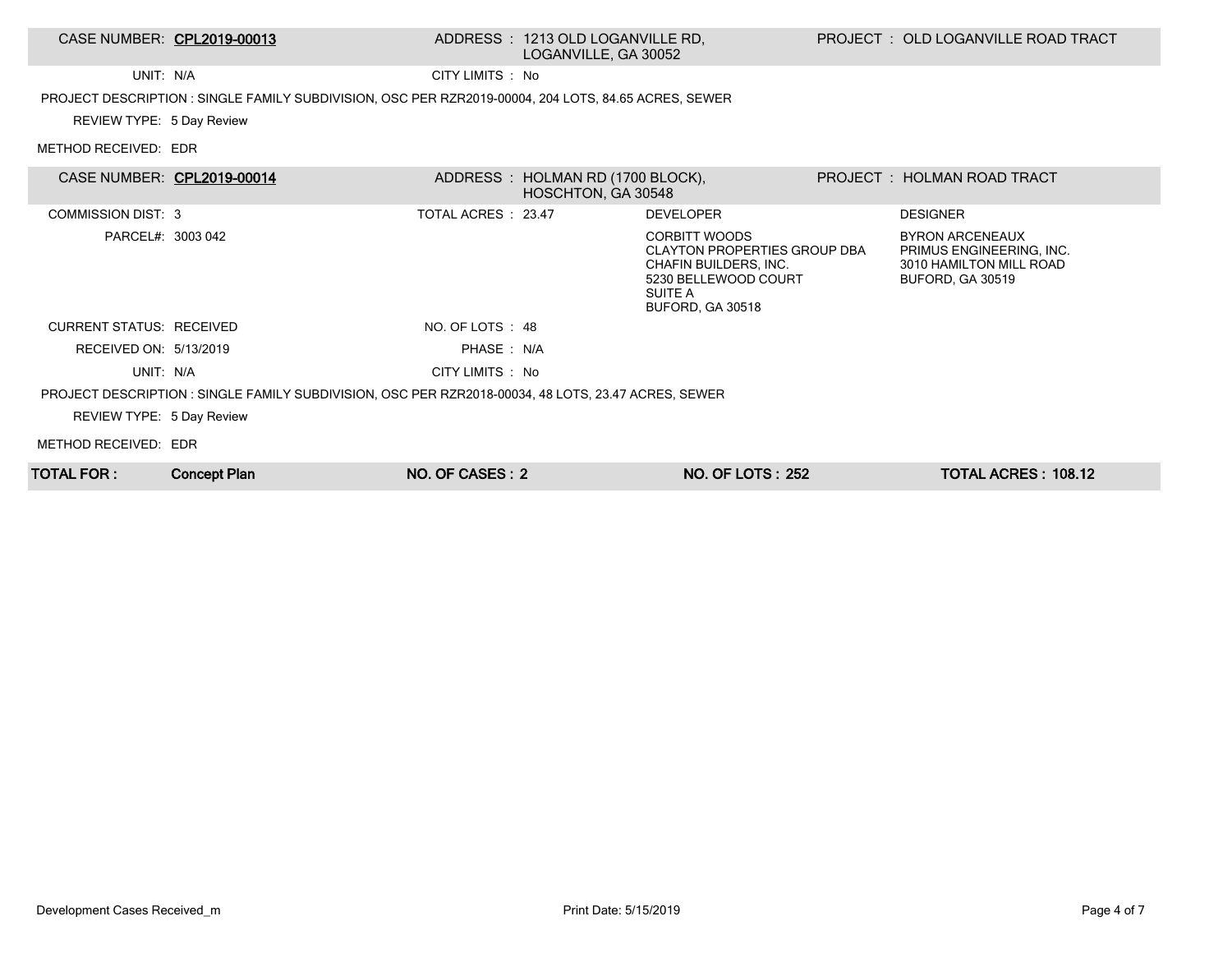### CASE NUMBER: CPL2019-00013 ADDRESS : 1213 OLD LOGANVILLE RD, LOGANVILLE, GA 30052

UNIT: N/A CITY LIMITS : No

PROJECT DESCRIPTION : SINGLE FAMILY SUBDIVISION, OSC PER RZR2019-00004, 204 LOTS, 84.65 ACRES, SEWER

REVIEW TYPE: 5 Day Review

METHOD RECEIVED: EDR

| CASE NUMBER: CPL2019-00014      |                                                                                                     |                     | ADDRESS : HOLMAN RD (1700 BLOCK),<br>HOSCHTON, GA 30548 |                                                                                                                                      | PROJECT : HOLMAN ROAD TRACT                                                                              |  |
|---------------------------------|-----------------------------------------------------------------------------------------------------|---------------------|---------------------------------------------------------|--------------------------------------------------------------------------------------------------------------------------------------|----------------------------------------------------------------------------------------------------------|--|
| COMMISSION DIST: 3              |                                                                                                     | TOTAL ACRES : 23.47 |                                                         | <b>DEVELOPER</b>                                                                                                                     | <b>DESIGNER</b>                                                                                          |  |
| PARCEL#: 3003 042               |                                                                                                     |                     |                                                         | <b>CORBITT WOODS</b><br>CLAYTON PROPERTIES GROUP DBA<br>CHAFIN BUILDERS, INC.<br>5230 BELLEWOOD COURT<br>SUITE A<br>BUFORD, GA 30518 | <b>BYRON ARCENEAUX</b><br>PRIMUS ENGINEERING, INC.<br>3010 HAMILTON MILL ROAD<br><b>BUFORD, GA 30519</b> |  |
| <b>CURRENT STATUS: RECEIVED</b> |                                                                                                     | NO. OF LOTS : 48    |                                                         |                                                                                                                                      |                                                                                                          |  |
| RECEIVED ON: 5/13/2019          |                                                                                                     | PHASE: N/A          |                                                         |                                                                                                                                      |                                                                                                          |  |
| UNIT: N/A                       |                                                                                                     | CITY LIMITS : No    |                                                         |                                                                                                                                      |                                                                                                          |  |
|                                 | PROJECT DESCRIPTION : SINGLE FAMILY SUBDIVISION, OSC PER RZR2018-00034, 48 LOTS, 23.47 ACRES, SEWER |                     |                                                         |                                                                                                                                      |                                                                                                          |  |
| REVIEW TYPE: 5 Day Review       |                                                                                                     |                     |                                                         |                                                                                                                                      |                                                                                                          |  |
| METHOD RECEIVED: EDR            |                                                                                                     |                     |                                                         |                                                                                                                                      |                                                                                                          |  |
| TOTAL FOR :                     | <b>Concept Plan</b>                                                                                 | NO. OF CASES: 2     |                                                         | NO. OF LOTS: 252                                                                                                                     | <b>TOTAL ACRES: 108.12</b>                                                                               |  |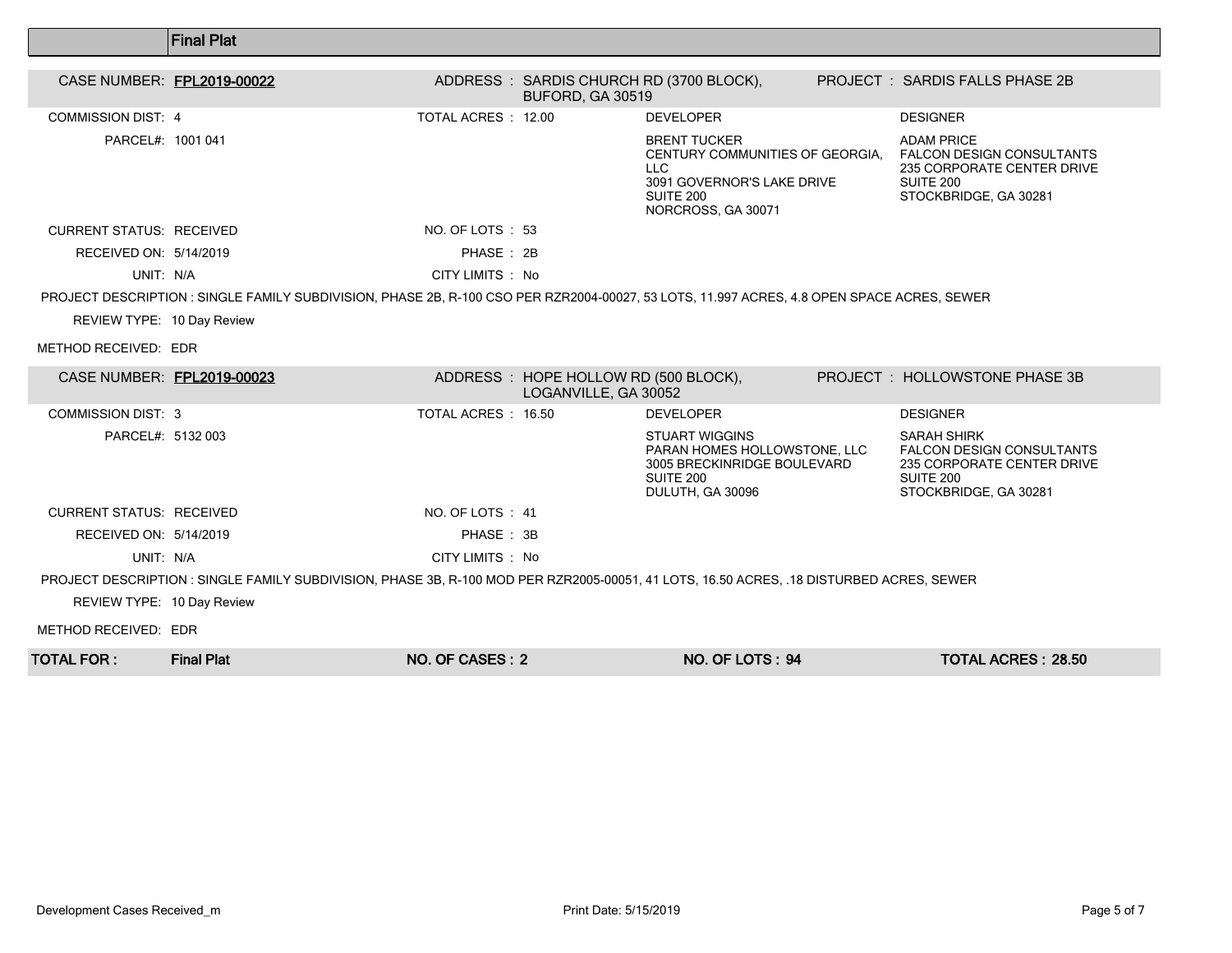|                                 | <b>Final Plat</b>                                                                                                                          |                     |                                                              |                                                                                                                                       |                                                                                                                            |
|---------------------------------|--------------------------------------------------------------------------------------------------------------------------------------------|---------------------|--------------------------------------------------------------|---------------------------------------------------------------------------------------------------------------------------------------|----------------------------------------------------------------------------------------------------------------------------|
| CASE NUMBER: FPL2019-00022      |                                                                                                                                            |                     | BUFORD, GA 30519                                             | ADDRESS: SARDIS CHURCH RD (3700 BLOCK),                                                                                               | PROJECT: SARDIS FALLS PHASE 2B                                                                                             |
| <b>COMMISSION DIST: 4</b>       |                                                                                                                                            | TOTAL ACRES : 12.00 |                                                              | <b>DEVELOPER</b>                                                                                                                      | <b>DESIGNER</b>                                                                                                            |
| PARCEL#: 1001 041               |                                                                                                                                            |                     |                                                              | <b>BRENT TUCKER</b><br>CENTURY COMMUNITIES OF GEORGIA.<br><b>LLC</b><br>3091 GOVERNOR'S LAKE DRIVE<br>SUITE 200<br>NORCROSS, GA 30071 | <b>ADAM PRICE</b><br><b>FALCON DESIGN CONSULTANTS</b><br>235 CORPORATE CENTER DRIVE<br>SUITE 200<br>STOCKBRIDGE, GA 30281  |
| <b>CURRENT STATUS: RECEIVED</b> |                                                                                                                                            | NO. OF LOTS: 53     |                                                              |                                                                                                                                       |                                                                                                                            |
| RECEIVED ON: 5/14/2019          |                                                                                                                                            | PHASE: 2B           |                                                              |                                                                                                                                       |                                                                                                                            |
| UNIT: N/A                       |                                                                                                                                            | CITY LIMITS : No    |                                                              |                                                                                                                                       |                                                                                                                            |
|                                 | PROJECT DESCRIPTION : SINGLE FAMILY SUBDIVISION, PHASE 2B, R-100 CSO PER RZR2004-00027, 53 LOTS, 11.997 ACRES, 4.8 OPEN SPACE ACRES, SEWER |                     |                                                              |                                                                                                                                       |                                                                                                                            |
| REVIEW TYPE: 10 Day Review      |                                                                                                                                            |                     |                                                              |                                                                                                                                       |                                                                                                                            |
| METHOD RECEIVED: EDR            |                                                                                                                                            |                     |                                                              |                                                                                                                                       |                                                                                                                            |
| CASE NUMBER: FPL2019-00023      |                                                                                                                                            |                     | ADDRESS: HOPE HOLLOW RD (500 BLOCK),<br>LOGANVILLE, GA 30052 |                                                                                                                                       | PROJECT: HOLLOWSTONE PHASE 3B                                                                                              |
| <b>COMMISSION DIST: 3</b>       |                                                                                                                                            | TOTAL ACRES : 16.50 |                                                              | <b>DEVELOPER</b>                                                                                                                      | <b>DESIGNER</b>                                                                                                            |
| PARCEL#: 5132 003               |                                                                                                                                            |                     |                                                              | <b>STUART WIGGINS</b><br>PARAN HOMES HOLLOWSTONE, LLC<br>3005 BRECKINRIDGE BOULEVARD<br>SUITE 200<br>DULUTH, GA 30096                 | <b>SARAH SHIRK</b><br><b>FALCON DESIGN CONSULTANTS</b><br>235 CORPORATE CENTER DRIVE<br>SUITE 200<br>STOCKBRIDGE, GA 30281 |
| <b>CURRENT STATUS: RECEIVED</b> |                                                                                                                                            | NO. OF LOTS: 41     |                                                              |                                                                                                                                       |                                                                                                                            |
| RECEIVED ON: 5/14/2019          |                                                                                                                                            | PHASE: 3B           |                                                              |                                                                                                                                       |                                                                                                                            |
| UNIT: N/A                       |                                                                                                                                            | CITY LIMITS : No    |                                                              |                                                                                                                                       |                                                                                                                            |
|                                 | PROJECT DESCRIPTION : SINGLE FAMILY SUBDIVISION, PHASE 3B, R-100 MOD PER RZR2005-00051, 41 LOTS, 16.50 ACRES, .18 DISTURBED ACRES, SEWER   |                     |                                                              |                                                                                                                                       |                                                                                                                            |
| REVIEW TYPE: 10 Day Review      |                                                                                                                                            |                     |                                                              |                                                                                                                                       |                                                                                                                            |
| METHOD RECEIVED: EDR            |                                                                                                                                            |                     |                                                              |                                                                                                                                       |                                                                                                                            |
| <b>TOTAL FOR :</b>              | <b>Final Plat</b>                                                                                                                          | NO. OF CASES: 2     |                                                              | NO. OF LOTS: 94                                                                                                                       | <b>TOTAL ACRES: 28.50</b>                                                                                                  |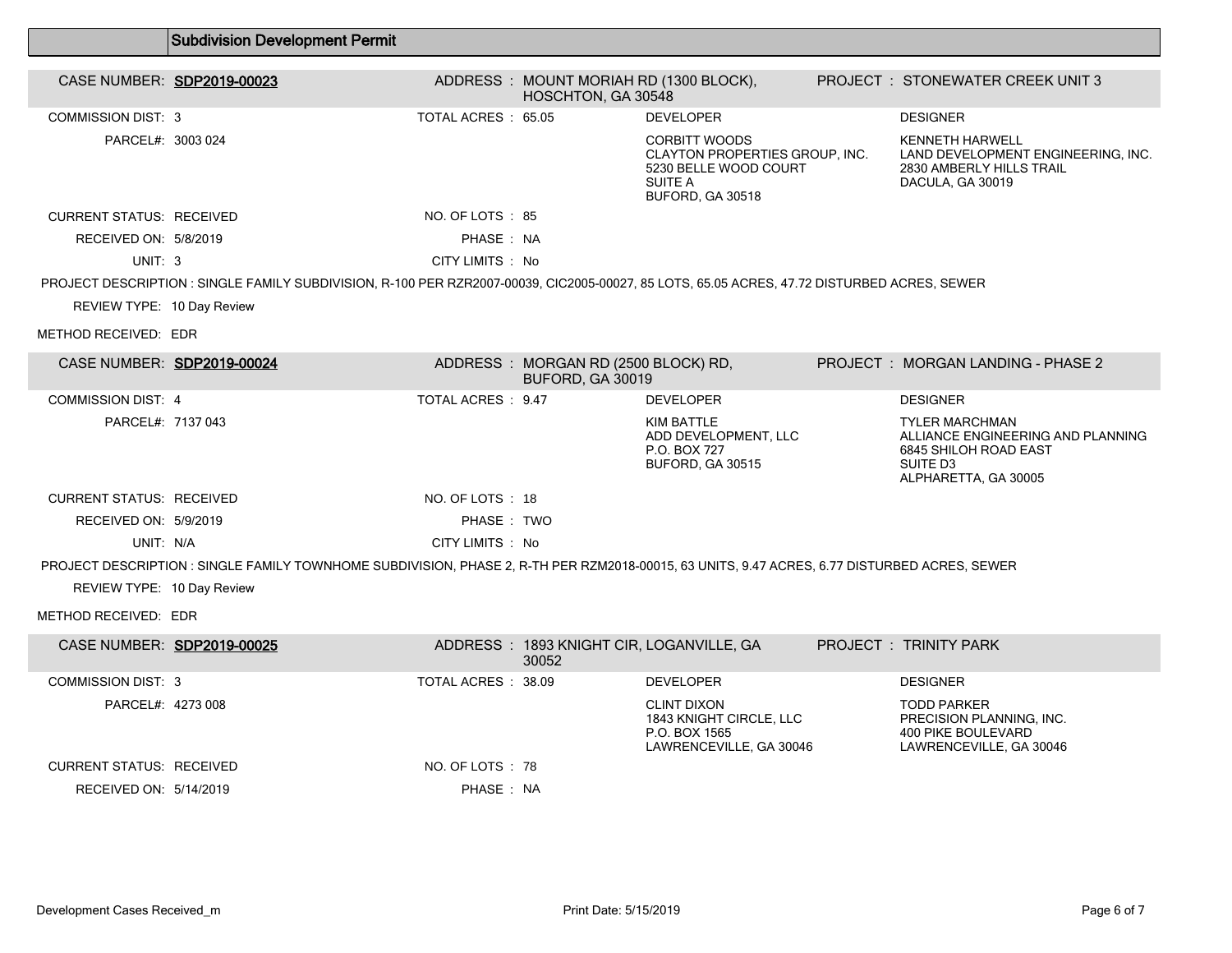|                                 | <b>Subdivision Development Permit</b>                                                                                                        |                     |                                                                |                                                                                                                |                                                                                                                         |
|---------------------------------|----------------------------------------------------------------------------------------------------------------------------------------------|---------------------|----------------------------------------------------------------|----------------------------------------------------------------------------------------------------------------|-------------------------------------------------------------------------------------------------------------------------|
| CASE NUMBER: SDP2019-00023      |                                                                                                                                              |                     | ADDRESS: MOUNT MORIAH RD (1300 BLOCK),<br>HOSCHTON, GA 30548   |                                                                                                                | <b>PROJECT : STONEWATER CREEK UNIT 3</b>                                                                                |
| <b>COMMISSION DIST: 3</b>       |                                                                                                                                              | TOTAL ACRES: 65.05  |                                                                | <b>DEVELOPER</b>                                                                                               | <b>DESIGNER</b>                                                                                                         |
| PARCEL#: 3003 024               |                                                                                                                                              |                     |                                                                | <b>CORBITT WOODS</b><br>CLAYTON PROPERTIES GROUP. INC.<br>5230 BELLE WOOD COURT<br>SUITE A<br>BUFORD, GA 30518 | <b>KENNETH HARWELL</b><br>LAND DEVELOPMENT ENGINEERING. INC.<br>2830 AMBERLY HILLS TRAIL<br>DACULA, GA 30019            |
| <b>CURRENT STATUS: RECEIVED</b> |                                                                                                                                              | NO. OF LOTS: 85     |                                                                |                                                                                                                |                                                                                                                         |
| RECEIVED ON: 5/8/2019           |                                                                                                                                              | PHASE: NA           |                                                                |                                                                                                                |                                                                                                                         |
| UNIT: 3                         |                                                                                                                                              | CITY LIMITS : No    |                                                                |                                                                                                                |                                                                                                                         |
|                                 | PROJECT DESCRIPTION : SINGLE FAMILY SUBDIVISION, R-100 PER RZR2007-00039, CIC2005-00027, 85 LOTS, 65.05 ACRES, 47.72 DISTURBED ACRES, SEWER  |                     |                                                                |                                                                                                                |                                                                                                                         |
| REVIEW TYPE: 10 Day Review      |                                                                                                                                              |                     |                                                                |                                                                                                                |                                                                                                                         |
| METHOD RECEIVED: EDR            |                                                                                                                                              |                     |                                                                |                                                                                                                |                                                                                                                         |
| CASE NUMBER: SDP2019-00024      |                                                                                                                                              |                     | ADDRESS: MORGAN RD (2500 BLOCK) RD,<br><b>BUFORD, GA 30019</b> |                                                                                                                | PROJECT: MORGAN LANDING - PHASE 2                                                                                       |
| <b>COMMISSION DIST: 4</b>       |                                                                                                                                              | TOTAL ACRES : 9.47  |                                                                | <b>DEVELOPER</b>                                                                                               | <b>DESIGNER</b>                                                                                                         |
| PARCEL#: 7137 043               |                                                                                                                                              |                     |                                                                | KIM BATTLE<br>ADD DEVELOPMENT, LLC<br>P.O. BOX 727<br><b>BUFORD, GA 30515</b>                                  | <b>TYLER MARCHMAN</b><br>ALLIANCE ENGINEERING AND PLANNING<br>6845 SHILOH ROAD EAST<br>SUITE D3<br>ALPHARETTA, GA 30005 |
| <b>CURRENT STATUS: RECEIVED</b> |                                                                                                                                              | NO. OF LOTS: 18     |                                                                |                                                                                                                |                                                                                                                         |
| RECEIVED ON: 5/9/2019           |                                                                                                                                              | PHASE: TWO          |                                                                |                                                                                                                |                                                                                                                         |
| UNIT: N/A                       |                                                                                                                                              | CITY LIMITS : No    |                                                                |                                                                                                                |                                                                                                                         |
|                                 | PROJECT DESCRIPTION : SINGLE FAMILY TOWNHOME SUBDIVISION, PHASE 2, R-TH PER RZM2018-00015, 63 UNITS, 9.47 ACRES, 6.77 DISTURBED ACRES, SEWER |                     |                                                                |                                                                                                                |                                                                                                                         |
| REVIEW TYPE: 10 Day Review      |                                                                                                                                              |                     |                                                                |                                                                                                                |                                                                                                                         |
| METHOD RECEIVED: EDR            |                                                                                                                                              |                     |                                                                |                                                                                                                |                                                                                                                         |
| CASE NUMBER: SDP2019-00025      |                                                                                                                                              |                     | ADDRESS: 1893 KNIGHT CIR, LOGANVILLE, GA<br>30052              |                                                                                                                | <b>PROJECT : TRINITY PARK</b>                                                                                           |
| <b>COMMISSION DIST: 3</b>       |                                                                                                                                              | TOTAL ACRES : 38.09 |                                                                | <b>DEVELOPER</b>                                                                                               | <b>DESIGNER</b>                                                                                                         |
| PARCEL#: 4273 008               |                                                                                                                                              |                     |                                                                | <b>CLINT DIXON</b><br>1843 KNIGHT CIRCLE, LLC<br>P.O. BOX 1565<br>LAWRENCEVILLE, GA 30046                      | <b>TODD PARKER</b><br>PRECISION PLANNING, INC.<br><b>400 PIKE BOULEVARD</b><br>LAWRENCEVILLE, GA 30046                  |
| <b>CURRENT STATUS: RECEIVED</b> |                                                                                                                                              | NO. OF LOTS : 78    |                                                                |                                                                                                                |                                                                                                                         |
| RECEIVED ON: 5/14/2019          |                                                                                                                                              | PHASE: NA           |                                                                |                                                                                                                |                                                                                                                         |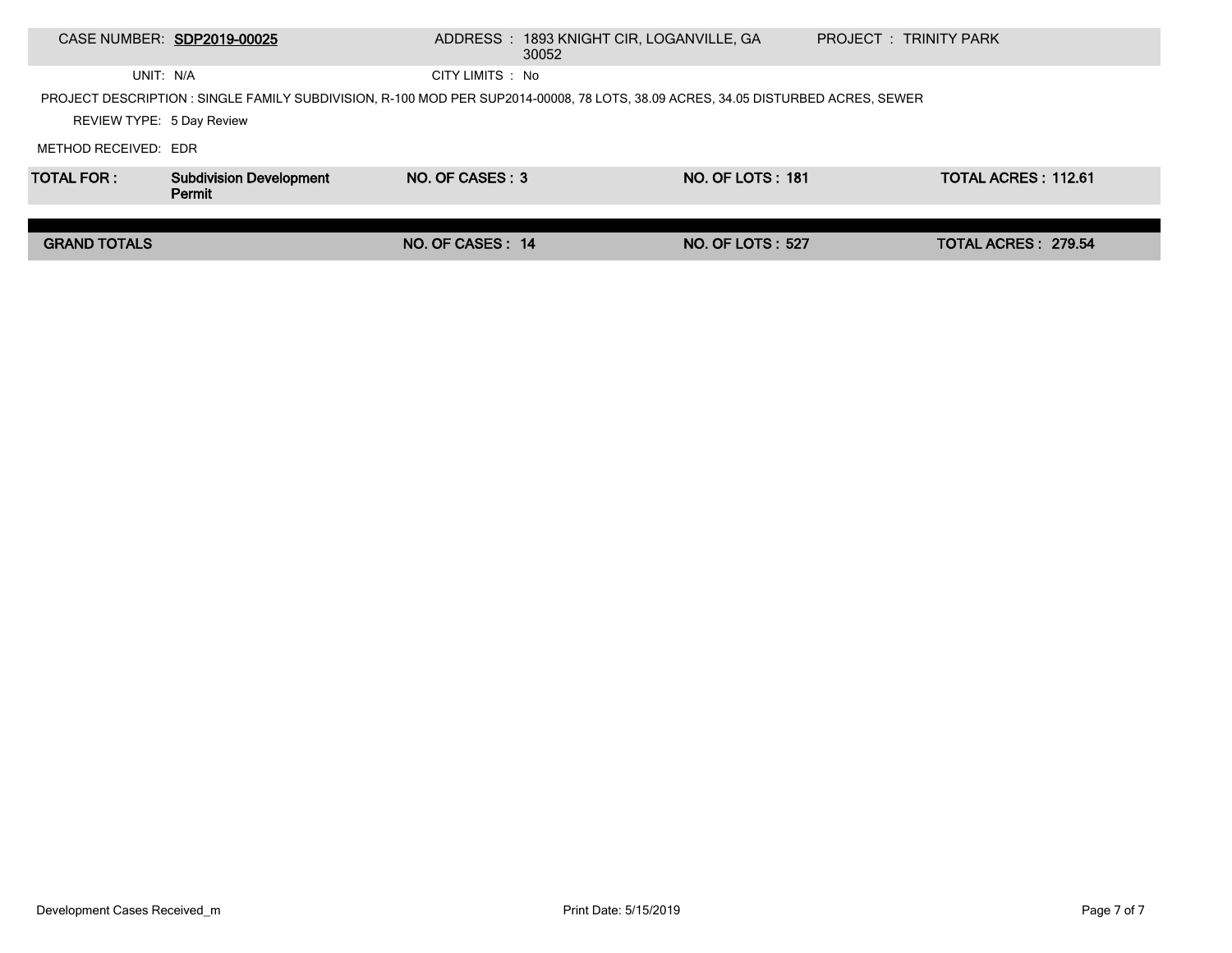|                           | CASE NUMBER: SDP2019-00025                                                                                                       |                  | ADDRESS: 1893 KNIGHT CIR, LOGANVILLE, GA<br>30052 |                         | PROJECT : TRINITY PARK |                     |  |
|---------------------------|----------------------------------------------------------------------------------------------------------------------------------|------------------|---------------------------------------------------|-------------------------|------------------------|---------------------|--|
| UNIT: N/A                 |                                                                                                                                  | CITY LIMITS : No |                                                   |                         |                        |                     |  |
|                           | PROJECT DESCRIPTION : SINGLE FAMILY SUBDIVISION, R-100 MOD PER SUP2014-00008, 78 LOTS, 38.09 ACRES, 34.05 DISTURBED ACRES, SEWER |                  |                                                   |                         |                        |                     |  |
| REVIEW TYPE: 5 Day Review |                                                                                                                                  |                  |                                                   |                         |                        |                     |  |
| METHOD RECEIVED: EDR      |                                                                                                                                  |                  |                                                   |                         |                        |                     |  |
| <b>TOTAL FOR:</b>         | <b>Subdivision Development</b><br>Permit                                                                                         | NO. OF CASES: 3  |                                                   | <b>NO. OF LOTS: 181</b> |                        | TOTAL ACRES: 112.61 |  |
|                           |                                                                                                                                  |                  |                                                   |                         |                        |                     |  |
| <b>GRAND TOTALS</b>       |                                                                                                                                  | NO. OF CASES: 14 |                                                   | <b>NO. OF LOTS: 527</b> |                        | TOTAL ACRES: 279.54 |  |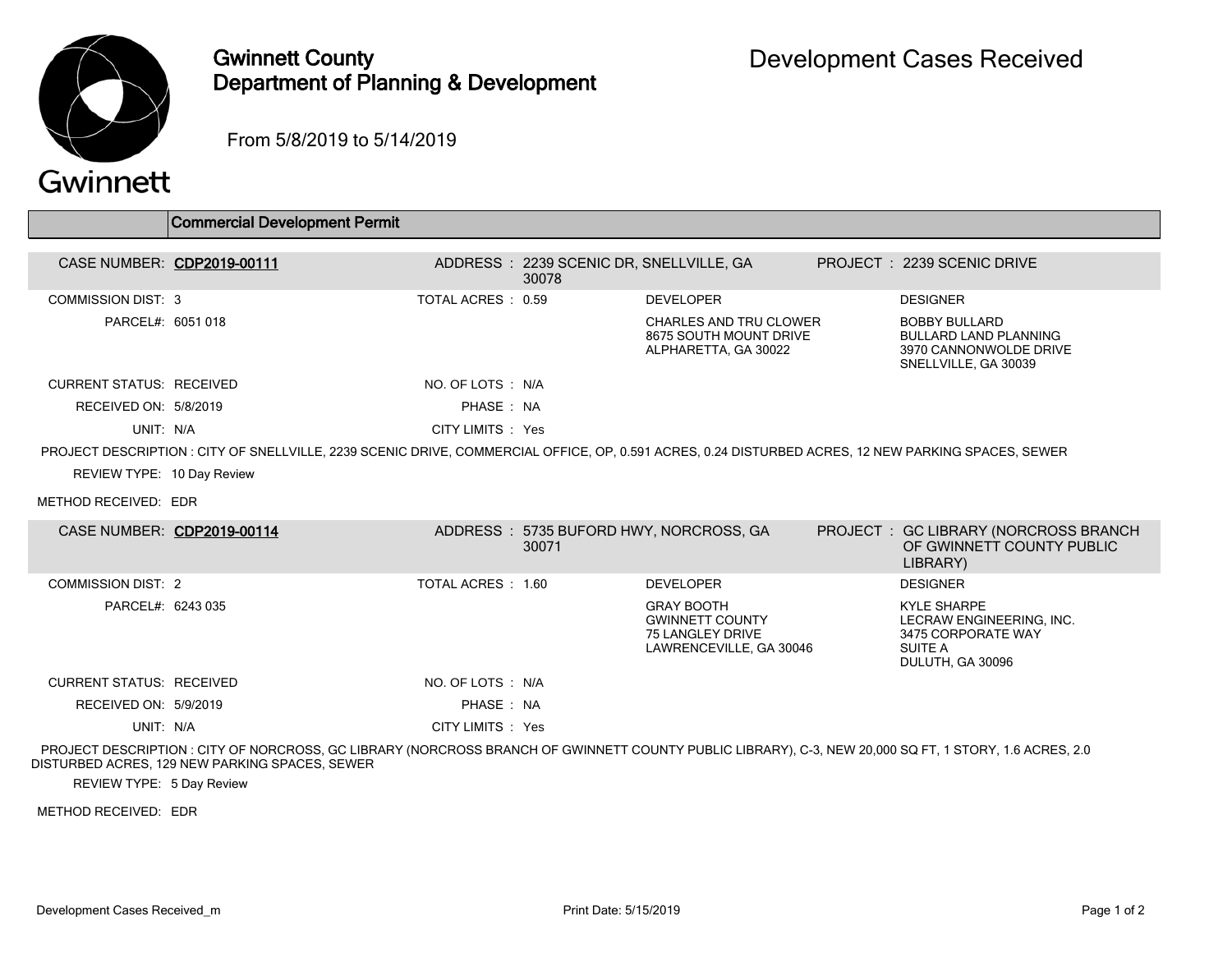

## Gwinnett County Department of Planning & Development

From 5/8/2019 to 5/14/2019

|  | Gwinnett |
|--|----------|
|  |          |

|                                 | <b>Commercial Development Permit</b>                                                                                                                |                    |                                                  |                                                                                                   |                                                                                                            |
|---------------------------------|-----------------------------------------------------------------------------------------------------------------------------------------------------|--------------------|--------------------------------------------------|---------------------------------------------------------------------------------------------------|------------------------------------------------------------------------------------------------------------|
| CASE NUMBER: CDP2019-00111      |                                                                                                                                                     |                    | ADDRESS: 2239 SCENIC DR, SNELLVILLE, GA<br>30078 |                                                                                                   | PROJECT: 2239 SCENIC DRIVE                                                                                 |
| <b>COMMISSION DIST: 3</b>       |                                                                                                                                                     | TOTAL ACRES : 0.59 |                                                  | <b>DEVELOPER</b>                                                                                  | <b>DESIGNER</b>                                                                                            |
| PARCEL#: 6051 018               |                                                                                                                                                     |                    |                                                  | <b>CHARLES AND TRU CLOWER</b><br>8675 SOUTH MOUNT DRIVE<br>ALPHARETTA, GA 30022                   | <b>BOBBY BULLARD</b><br><b>BULLARD LAND PLANNING</b><br>3970 CANNONWOLDE DRIVE<br>SNELLVILLE, GA 30039     |
| <b>CURRENT STATUS: RECEIVED</b> |                                                                                                                                                     | NO. OF LOTS : N/A  |                                                  |                                                                                                   |                                                                                                            |
| RECEIVED ON: 5/8/2019           |                                                                                                                                                     | PHASE : NA         |                                                  |                                                                                                   |                                                                                                            |
| UNIT: N/A                       |                                                                                                                                                     | CITY LIMITS : Yes  |                                                  |                                                                                                   |                                                                                                            |
|                                 | PROJECT DESCRIPTION : CITY OF SNELLVILLE, 2239 SCENIC DRIVE, COMMERCIAL OFFICE, OP, 0.591 ACRES, 0.24 DISTURBED ACRES, 12 NEW PARKING SPACES, SEWER |                    |                                                  |                                                                                                   |                                                                                                            |
| REVIEW TYPE: 10 Day Review      |                                                                                                                                                     |                    |                                                  |                                                                                                   |                                                                                                            |
| METHOD RECEIVED: EDR            |                                                                                                                                                     |                    |                                                  |                                                                                                   |                                                                                                            |
| CASE NUMBER: CDP2019-00114      |                                                                                                                                                     |                    | 30071                                            | ADDRESS: 5735 BUFORD HWY, NORCROSS, GA                                                            | PROJECT : GC LIBRARY (NORCROSS BRANCH<br>OF GWINNETT COUNTY PUBLIC<br>LIBRARY)                             |
| COMMISSION DIST: 2              |                                                                                                                                                     | TOTAL ACRES: 1.60  |                                                  | <b>DEVELOPER</b>                                                                                  | <b>DESIGNER</b>                                                                                            |
| PARCEL#: 6243 035               |                                                                                                                                                     |                    |                                                  | <b>GRAY BOOTH</b><br><b>GWINNETT COUNTY</b><br><b>75 LANGLEY DRIVE</b><br>LAWRENCEVILLE, GA 30046 | <b>KYLE SHARPE</b><br>LECRAW ENGINEERING, INC.<br>3475 CORPORATE WAY<br><b>SUITE A</b><br>DULUTH, GA 30096 |
| <b>CURRENT STATUS: RECEIVED</b> |                                                                                                                                                     | NO. OF LOTS : N/A  |                                                  |                                                                                                   |                                                                                                            |
| RECEIVED ON: 5/9/2019           |                                                                                                                                                     | PHASE: NA          |                                                  |                                                                                                   |                                                                                                            |
| UNIT: N/A                       |                                                                                                                                                     | CITY LIMITS : Yes  |                                                  |                                                                                                   |                                                                                                            |

 PROJECT DESCRIPTION : CITY OF NORCROSS, GC LIBRARY (NORCROSS BRANCH OF GWINNETT COUNTY PUBLIC LIBRARY), C-3, NEW 20,000 SQ FT, 1 STORY, 1.6 ACRES, 2.0 DISTURBED ACRES, 129 NEW PARKING SPACES, SEWER

REVIEW TYPE: 5 Day Review

METHOD RECEIVED: EDR